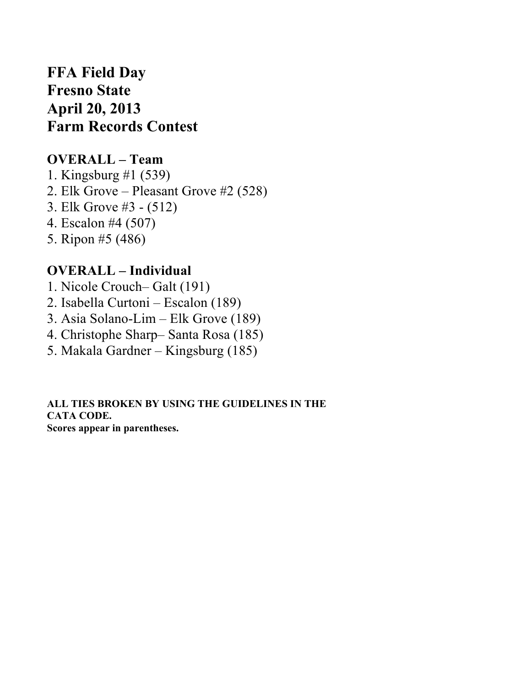# **FFA Field Day Fresno State April 20, 2013 Farm Records Contest**

### **OVERALL – Team**

1. Kingsburg #1 (539) 2. Elk Grove – Pleasant Grove #2 (528) 3. Elk Grove #3 - (512) 4. Escalon #4 (507) 5. Ripon #5 (486)

## **OVERALL – Individual**

- 1. Nicole Crouch– Galt (191)
- 2. Isabella Curtoni Escalon (189)
- 3. Asia Solano-Lim Elk Grove (189)
- 4. Christophe Sharp– Santa Rosa (185)
- 5. Makala Gardner Kingsburg (185)

**ALL TIES BROKEN BY USING THE GUIDELINES IN THE CATA CODE. Scores appear in parentheses.**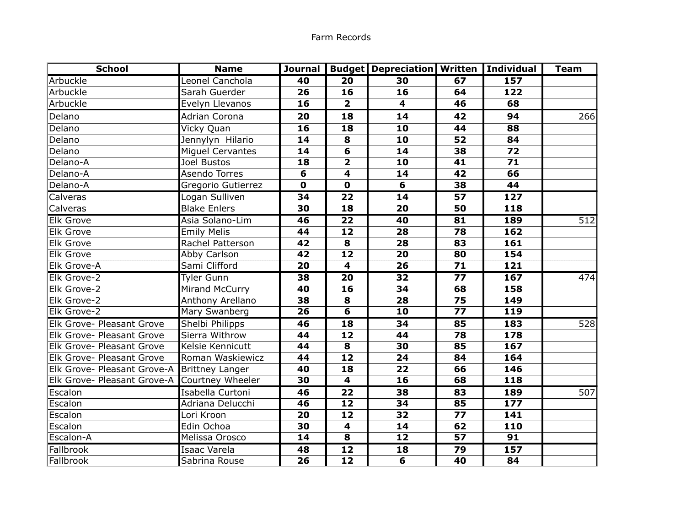| <b>School</b>                                | <b>Name</b>         | Journal     |                          | <b>Budget   Depreciation   Written   Individual</b> |                 |                  | <b>Team</b> |
|----------------------------------------------|---------------------|-------------|--------------------------|-----------------------------------------------------|-----------------|------------------|-------------|
| Arbuckle                                     | Leonel Canchola     | 40          | $\overline{20}$          | 30                                                  | 67              | 157              |             |
| Arbuckle                                     | Sarah Guerder       | 26          | 16                       | 16                                                  | 64              | 122              |             |
| Arbuckle                                     | Evelyn Llevanos     | 16          | $\overline{2}$           | 4                                                   | 46              | 68               |             |
| Delano                                       | Adrian Corona       | 20          | 18                       | 14                                                  | 42              | 94               | 266         |
| Delano                                       | Vicky Quan          | 16          | 18                       | 10                                                  | 44              | 88               |             |
| Delano                                       | Jennylyn Hilario    | 14          | 8                        | 10                                                  | 52              | 84               |             |
| Delano                                       | Miquel Cervantes    | 14          | 6                        | 14                                                  | 38              | 72               |             |
| Delano-A                                     | Joel Bustos         | 18          | $\overline{2}$           | 10                                                  | 41              | 71               |             |
| Delano-A                                     | Asendo Torres       | 6           | $\overline{4}$           | 14                                                  | 42              | 66               |             |
| Delano-A                                     | Gregorio Gutierrez  | $\mathbf 0$ | $\mathbf 0$              | 6                                                   | 38              | 44               |             |
| <b>Calveras</b>                              | Logan Sulliven      | 34          | $\overline{22}$          | $\overline{14}$                                     | $\overline{57}$ | $\overline{127}$ |             |
| Calveras                                     | <b>Blake Enlers</b> | 30          | 18                       | 20                                                  | 50              | 118              |             |
| <b>Elk Grove</b>                             | Asia Solano-Lim     | 46          | 22                       | 40                                                  | 81              | 189              | 512         |
| <b>Elk Grove</b>                             | <b>Emily Melis</b>  | 44          | 12                       | 28                                                  | 78              | 162              |             |
| Elk Grove                                    | Rachel Patterson    | 42          | 8                        | 28                                                  | 83              | 161              |             |
| Elk Grove                                    | Abby Carlson        | 42          | $\overline{12}$          | 20                                                  | 80              | 154              |             |
| Elk Grove-A                                  | Sami Clifford       | 20          | $\overline{\mathbf{4}}$  | 26                                                  | 71              | 121              |             |
| <b>Elk Grove-2</b>                           | <b>Tyler Gunn</b>   | 38          | $\overline{20}$          | 32                                                  | $\overline{77}$ | 167              | 474         |
| Elk Grove-2                                  | Mirand McCurry      | 40          | 16                       | 34                                                  | 68              | 158              |             |
| Elk Grove-2                                  | Anthony Arellano    | 38          | 8                        | 28                                                  | 75              | 149              |             |
| Elk Grove-2                                  | Mary Swanberg       | 26          | $6 \overline{}$          | 10                                                  | 77              | 119              |             |
| Elk Grove- Pleasant Grove                    | Shelbi Philipps     | 46          | 18                       | 34                                                  | 85              | 183              | 528         |
| Elk Grove- Pleasant Grove                    | Sierra Withrow      | 44          | 12                       | 44                                                  | 78              | 178              |             |
| Elk Grove- Pleasant Grove                    | Kelsie Kennicutt    | 44          | 8                        | 30                                                  | 85              | 167              |             |
| Elk Grove- Pleasant Grove                    | Roman Waskiewicz    | 44          | $\overline{12}$          | 24                                                  | 84              | 164              |             |
| Elk Grove- Pleasant Grove-A Brittney Langer  |                     | 40          | $\overline{\mathbf{18}}$ | 22                                                  | 66              | 146              |             |
| Elk Grove- Pleasant Grove-A Courtney Wheeler |                     | 30          | $\overline{4}$           | 16                                                  | 68              | 118              |             |
| Escalon                                      | Isabella Curtoni    | 46          | $\overline{22}$          | 38                                                  | 83              | <b>189</b>       | 507         |
| Escalon                                      | Adriana Delucchi    | 46          | 12                       | 34                                                  | 85              | 177              |             |
| Escalon                                      | Lori Kroon          | 20          | 12                       | 32                                                  | 77              | 141              |             |
| Escalon                                      | Edin Ochoa          | 30          | 4                        | 14                                                  | 62              | 110              |             |
| Escalon-A                                    | Melissa Orosco      | 14          | 8                        | 12                                                  | 57              | 91               |             |
| Fallbrook                                    | Isaac Varela        | 48          | $\overline{12}$          | 18                                                  | $\overline{79}$ | 157              |             |
| Fallbrook                                    | Sabrina Rouse       | 26          | $\overline{12}$          | 6                                                   | 40              | 84               |             |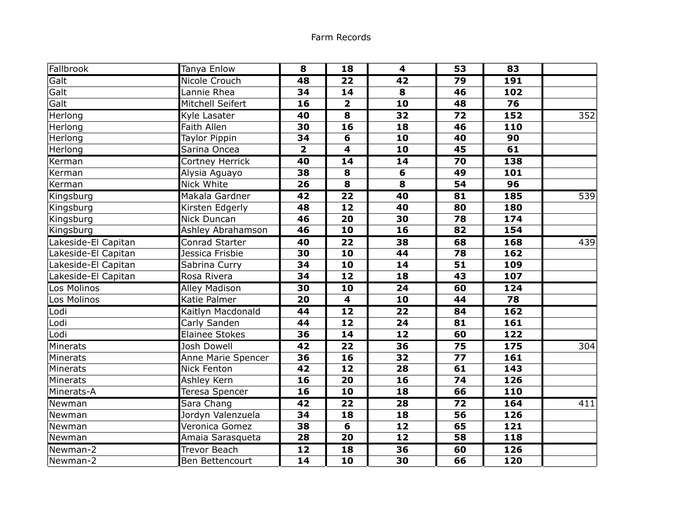| Fallbrook           | Tanya Enlow           | 8                       | 18                      | 4               | 53              | 83  |     |
|---------------------|-----------------------|-------------------------|-------------------------|-----------------|-----------------|-----|-----|
| Galt                | Nicole Crouch         | 48                      | $\overline{22}$         | $\overline{42}$ | 79              | 191 |     |
| Galt                | Lannie Rhea           | 34                      | 14                      | 8               | 46              | 102 |     |
| Galt                | Mitchell Seifert      | 16                      | $\overline{\mathbf{2}}$ | 10              | 48              | 76  |     |
| Herlong             | Kyle Lasater          | 40                      | $\overline{\mathbf{8}}$ | $\overline{32}$ | $\overline{72}$ | 152 | 352 |
| Herlong             | <b>Faith Allen</b>    | 30                      | 16                      | 18              | 46              | 110 |     |
| Herlong             | Taylor Pippin         | 34                      | 6                       | 10              | 40              | 90  |     |
| Herlong             | Sarina Oncea          | $\overline{\mathbf{2}}$ | $\overline{\mathbf{4}}$ | 10              | 45              | 61  |     |
| Kerman              | Cortney Herrick       | 40                      | 14                      | 14              | 70              | 138 |     |
| Kerman              | Alysia Aguayo         | 38                      | 8                       | 6               | 49              | 101 |     |
| Kerman              | Nick White            | 26                      | 8                       | 8               | 54              | 96  |     |
| Kingsburg           | Makala Gardner        | 42                      | $\overline{22}$         | 40              | 81              | 185 | 539 |
| Kingsburg           | Kirsten Edgerly       | 48                      | $\overline{12}$         | 40              | 80              | 180 |     |
| Kingsburg           | Nick Duncan           | 46                      | $\overline{20}$         | 30              | 78              | 174 |     |
| Kingsburg           | Ashley Abrahamson     | 46                      | $\overline{10}$         | 16              | 82              | 154 |     |
| Lakeside-El Capitan | Conrad Starter        | 40                      | 22                      | 38              | 68              | 168 | 439 |
| Lakeside-El Capitan | Jessica Frisbie       | 30                      | 10                      | 44              | 78              | 162 |     |
| Lakeside-El Capitan | Sabrina Curry         | 34                      | $\overline{10}$         | 14              | 51              | 109 |     |
| Lakeside-El Capitan | Rosa Rivera           | 34                      | 12                      | 18              | 43              | 107 |     |
| Los Molinos         | <b>Alley Madison</b>  | 30                      | $\overline{10}$         | $\overline{24}$ | 60              | 124 |     |
| Los Molinos         | Katie Palmer          | 20                      | $\overline{\mathbf{4}}$ | 10              | 44              | 78  |     |
| Lodi                | Kaitlyn Macdonald     | 44                      | $\overline{12}$         | $\overline{22}$ | 84              | 162 |     |
| Lodi                | Carly Sanden          | 44                      | $\overline{12}$         | 24              | 81              | 161 |     |
| Lodi                | <b>Elainee Stokes</b> | 36                      | 14                      | 12              | 60              | 122 |     |
| Minerats            | <b>Josh Dowell</b>    | $\overline{42}$         | $\overline{22}$         | $\overline{36}$ | $\overline{75}$ | 175 | 304 |
| Minerats            | Anne Marie Spencer    | 36                      | 16                      | 32              | 77              | 161 |     |
| Minerats            | <b>Nick Fenton</b>    | 42                      | 12                      | 28              | 61              | 143 |     |
| Minerats            | Ashley Kern           | 16                      | $\overline{20}$         | 16              | 74              | 126 |     |
| Minerats-A          | Teresa Spencer        | 16                      | 10                      | 18              | 66              | 110 |     |
| Newman              | Sara Chang            | $\overline{42}$         | $\overline{22}$         | $\overline{28}$ | $\overline{72}$ | 164 | 411 |
| Newman              | Jordyn Valenzuela     | 34                      | 18                      | 18              | 56              | 126 |     |
| Newman              | Veronica Gomez        | 38                      | 6                       | 12              | 65              | 121 |     |
| Newman              | Amaia Sarasqueta      | 28                      | $\overline{20}$         | 12              | 58              | 118 |     |
| Newman-2            | <b>Trevor Beach</b>   | 12                      | $\overline{18}$         | 36              | 60              | 126 |     |
| Newman-2            | Ben Bettencourt       | $\overline{14}$         | $\overline{10}$         | 30              | 66              | 120 |     |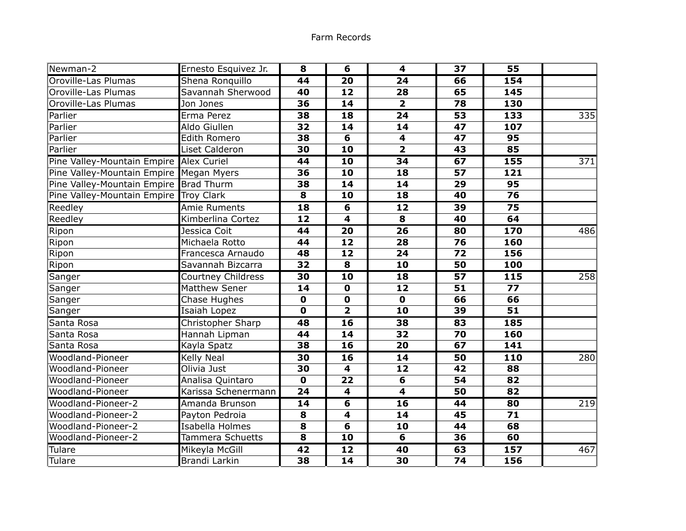| Newman-2                                | Ernesto Esquivez Jr. | 8               | 6                       | 4                       | 37              | 55               |                  |
|-----------------------------------------|----------------------|-----------------|-------------------------|-------------------------|-----------------|------------------|------------------|
| Oroville-Las Plumas                     | Shena Ronguillo      | $\overline{44}$ | $\overline{20}$         | $\overline{24}$         | 66              | 154              |                  |
| Oroville-Las Plumas                     | Savannah Sherwood    | 40              | 12                      | 28                      | 65              | 145              |                  |
| Oroville-Las Plumas                     | Jon Jones            | 36              | 14                      | $\overline{\mathbf{2}}$ | 78              | 130              |                  |
| Parlier                                 | Erma Perez           | 38              | 18                      | $\overline{24}$         | 53              | 133              | 335              |
| Parlier                                 | Aldo Giullen         | 32              | 14                      | 14                      | 47              | 107              |                  |
| Parlier                                 | <b>Edith Romero</b>  | 38              | 6                       | $\overline{\mathbf{4}}$ | 47              | 95               |                  |
| Parlier                                 | Liset Calderon       | 30              | 10                      | $\overline{\mathbf{2}}$ | 43              | 85               |                  |
| Pine Valley-Mountain Empire Alex Curiel |                      | 44              | 10                      | 34                      | 67              | 155              | 371              |
| Pine Valley-Mountain Empire Megan Myers |                      | 36              | 10                      | 18                      | 57              | 121              |                  |
| Pine Valley-Mountain Empire Brad Thurm  |                      | 38              | 14                      | 14                      | 29              | 95               |                  |
| Pine Valley-Mountain Empire Troy Clark  |                      | 8               | 10                      | 18                      | 40              | $\overline{76}$  |                  |
| Reedley                                 | <b>Amie Ruments</b>  | $\overline{18}$ | 6                       | 12                      | 39              | 75               |                  |
| Reedley                                 | Kimberlina Cortez    | 12              | $\overline{\mathbf{4}}$ | 8                       | 40              | 64               |                  |
| Ripon                                   | Jessica Coit         | $\overline{44}$ | $\overline{20}$         | $\overline{26}$         | 80              | 170              | $\overline{486}$ |
| Ripon                                   | Michaela Rotto       | 44              | 12                      | 28                      | 76              | 160              |                  |
| Ripon                                   | Francesca Arnaudo    | 48              | 12                      | 24                      | 72              | 156              |                  |
| Ripon                                   | Savannah Bizcarra    | 32              | 8                       | 10                      | 50              | 100              |                  |
| Sanger                                  | Courtney Childress   | 30              | $\overline{10}$         | 18                      | $\overline{57}$ | $\overline{115}$ | 258              |
| Sanger                                  | <b>Matthew Sener</b> | 14              | $\mathbf 0$             | 12                      | 51              | 77               |                  |
| Sanger                                  | Chase Hughes         | $\mathbf 0$     | $\mathbf 0$             | $\mathbf 0$             | 66              | 66               |                  |
| Sanger                                  | Isaiah Lopez         | $\mathbf 0$     | $\overline{2}$          | 10                      | 39              | $\overline{51}$  |                  |
| Santa Rosa                              | Christopher Sharp    | 48              | 16                      | 38                      | 83              | 185              |                  |
| Santa Rosa                              | Hannah Lipman        | 44              | 14                      | 32                      | 70              | 160              |                  |
| Santa Rosa                              | Kayla Spatz          | 38              | 16                      | 20                      | 67              | 141              |                  |
| Woodland-Pioneer                        | <b>Kelly Neal</b>    | 30              | 16                      | 14                      | 50              | 110              | 280              |
| Woodland-Pioneer                        | Olivia Just          | 30              | $\overline{\mathbf{4}}$ | 12                      | 42              | 88               |                  |
| <b>Woodland-Pioneer</b>                 | Analisa Quintaro     | $\mathbf{O}$    | $\overline{22}$         | 6                       | 54              | $\overline{82}$  |                  |
| <b>Woodland-Pioneer</b>                 | Karissa Schenermann  | 24              | $\overline{\mathbf{4}}$ | $\overline{4}$          | 50              | 82               |                  |
| Woodland-Pioneer-2                      | Amanda Brunson       | 14              | 6                       | 16                      | 44              | 80               | $\overline{2}19$ |
| Woodland-Pioneer-2                      | Payton Pedroia       | 8               | 4                       | 14                      | 45              | 71               |                  |
| Woodland-Pioneer-2                      | Isabella Holmes      | 8               | 6                       | 10                      | 44              | 68               |                  |
| Woodland-Pioneer-2                      | Tammera Schuetts     | 8               | 10                      | $6\overline{6}$         | 36              | 60               |                  |
| Tulare                                  | Mikeyla McGill       | 42              | $\overline{12}$         | 40                      | 63              | 157              | 467              |
| Tulare                                  | Brandi Larkin        | 38              | $\overline{14}$         | 30                      | $\overline{74}$ | 156              |                  |